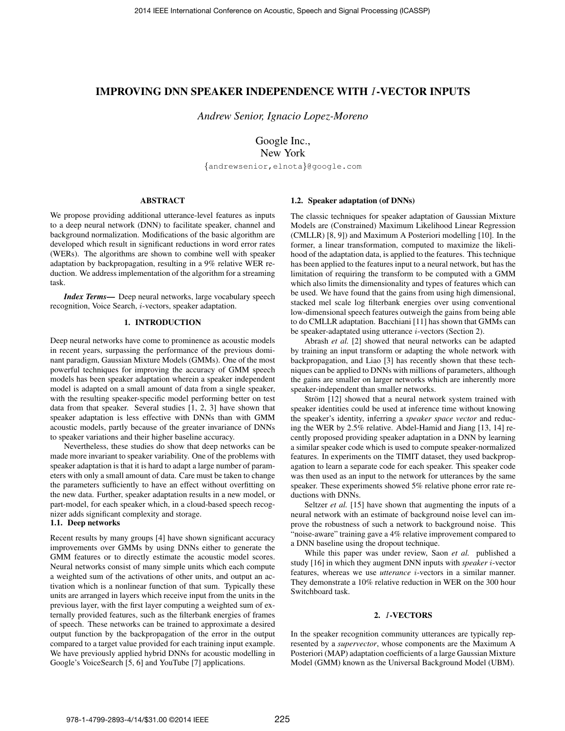# IMPROVING DNN SPEAKER INDEPENDENCE WITH I-VECTOR INPUTS

*Andrew Senior, Ignacio Lopez-Moreno*

Google Inc., New York

{andrewsenior,elnota}@google.com

# ABSTRACT

We propose providing additional utterance-level features as inputs to a deep neural network (DNN) to facilitate speaker, channel and background normalization. Modifications of the basic algorithm are developed which result in significant reductions in word error rates (WERs). The algorithms are shown to combine well with speaker adaptation by backpropagation, resulting in a 9% relative WER reduction. We address implementation of the algorithm for a streaming task.

*Index Terms*— Deep neural networks, large vocabulary speech recognition, Voice Search, i-vectors, speaker adaptation.

## 1. INTRODUCTION

Deep neural networks have come to prominence as acoustic models in recent years, surpassing the performance of the previous dominant paradigm, Gaussian Mixture Models (GMMs). One of the most powerful techniques for improving the accuracy of GMM speech models has been speaker adaptation wherein a speaker independent model is adapted on a small amount of data from a single speaker, with the resulting speaker-specific model performing better on test data from that speaker. Several studies [1, 2, 3] have shown that speaker adaptation is less effective with DNNs than with GMM acoustic models, partly because of the greater invariance of DNNs to speaker variations and their higher baseline accuracy.

Nevertheless, these studies do show that deep networks can be made more invariant to speaker variability. One of the problems with speaker adaptation is that it is hard to adapt a large number of parameters with only a small amount of data. Care must be taken to change the parameters sufficiently to have an effect without overfitting on the new data. Further, speaker adaptation results in a new model, or part-model, for each speaker which, in a cloud-based speech recognizer adds significant complexity and storage.

#### 1.1. Deep networks

Recent results by many groups [4] have shown significant accuracy improvements over GMMs by using DNNs either to generate the GMM features or to directly estimate the acoustic model scores. Neural networks consist of many simple units which each compute a weighted sum of the activations of other units, and output an activation which is a nonlinear function of that sum. Typically these units are arranged in layers which receive input from the units in the previous layer, with the first layer computing a weighted sum of externally provided features, such as the filterbank energies of frames of speech. These networks can be trained to approximate a desired output function by the backpropagation of the error in the output compared to a target value provided for each training input example. We have previously applied hybrid DNNs for acoustic modelling in Google's VoiceSearch [5, 6] and YouTube [7] applications.

### 1.2. Speaker adaptation (of DNNs)

The classic techniques for speaker adaptation of Gaussian Mixture Models are (Constrained) Maximum Likelihood Linear Regression (CMLLR) [8, 9]) and Maximum A Posteriori modelling [10]. In the former, a linear transformation, computed to maximize the likelihood of the adaptation data, is applied to the features. This technique has been applied to the features input to a neural network, but has the limitation of requiring the transform to be computed with a GMM which also limits the dimensionality and types of features which can be used. We have found that the gains from using high dimensional, stacked mel scale log filterbank energies over using conventional low-dimensional speech features outweigh the gains from being able to do CMLLR adaptation. Bacchiani [11] has shown that GMMs can be speaker-adaptated using utterance  $i$ -vectors (Section 2).

Abrash *et al.* [2] showed that neural networks can be adapted by training an input transform or adapting the whole network with backpropagation, and Liao [3] has recently shown that these techniques can be applied to DNNs with millions of parameters, although the gains are smaller on larger networks which are inherently more speaker-independent than smaller networks.

Ström [12] showed that a neural network system trained with speaker identities could be used at inference time without knowing the speaker's identity, inferring a *speaker space vector* and reducing the WER by 2.5% relative. Abdel-Hamid and Jiang [13, 14] recently proposed providing speaker adaptation in a DNN by learning a similar speaker code which is used to compute speaker-normalized features. In experiments on the TIMIT dataset, they used backpropagation to learn a separate code for each speaker. This speaker code was then used as an input to the network for utterances by the same speaker. These experiments showed 5% relative phone error rate reductions with DNNs.

Seltzer *et al.* [15] have shown that augmenting the inputs of a neural network with an estimate of background noise level can improve the robustness of such a network to background noise. This "noise-aware" training gave a 4% relative improvement compared to a DNN baseline using the dropout technique.

While this paper was under review, Saon *et al.* published a study [16] in which they augment DNN inputs with *speaker* i-vector features, whereas we use *utterance* i-vectors in a similar manner. They demonstrate a 10% relative reduction in WER on the 300 hour Switchboard task.

## 2. I-VECTORS

In the speaker recognition community utterances are typically represented by a *supervector*, whose components are the Maximum A Posteriori (MAP) adaptation coefficients of a large Gaussian Mixture Model (GMM) known as the Universal Background Model (UBM).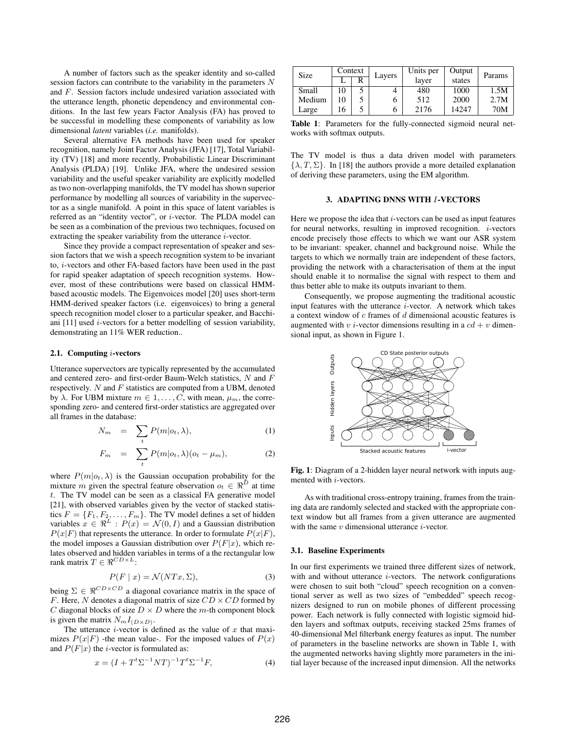A number of factors such as the speaker identity and so-called session factors can contribute to the variability in the parameters N and F. Session factors include undesired variation associated with the utterance length, phonetic dependency and environmental conditions. In the last few years Factor Analysis (FA) has proved to be successful in modelling these components of variability as low dimensional *latent* variables (*i.e.* manifolds).

Several alternative FA methods have been used for speaker recognition, namely Joint Factor Analysis (JFA) [17], Total Variability (TV) [18] and more recently, Probabilistic Linear Discriminant Analysis (PLDA) [19]. Unlike JFA, where the undesired session variability and the useful speaker variability are explicitly modelled as two non-overlapping manifolds, the TV model has shown superior performance by modelling all sources of variability in the supervector as a single manifold. A point in this space of latent variables is referred as an "identity vector", or i-vector. The PLDA model can be seen as a combination of the previous two techniques, focused on extracting the speaker variability from the utterance i-vector.

Since they provide a compact representation of speaker and session factors that we wish a speech recognition system to be invariant to, i-vectors and other FA-based factors have been used in the past for rapid speaker adaptation of speech recognition systems. However, most of these contributions were based on classical HMMbased acoustic models. The Eigenvoices model [20] uses short-term HMM-derived speaker factors (i.e. eigenvoices) to bring a general speech recognition model closer to a particular speaker, and Bacchiani [11] used i-vectors for a better modelling of session variability, demonstrating an 11% WER reduction..

#### 2.1. Computing i-vectors

Utterance supervectors are typically represented by the accumulated and centered zero- and first-order Baum-Welch statistics, N and F respectively.  $N$  and  $F$  statistics are computed from a UBM, denoted by  $\lambda$ . For UBM mixture  $m \in 1, \ldots, C$ , with mean,  $\mu_m$ , the corresponding zero- and centered first-order statistics are aggregated over all frames in the database:

$$
N_m = \sum_t P(m|o_t, \lambda), \tag{1}
$$

$$
F_m = \sum_t P(m|o_t, \lambda)(o_t - \mu_m), \tag{2}
$$

where  $P(m|o_t, \lambda)$  is the Gaussian occupation probability for the mixture m given the spectral feature observation  $o_t \in \Re^D$  at time t. The TV model can be seen as a classical FA generative model [21], with observed variables given by the vector of stacked statistics  $F = \{F_1, F_2, \dots, F_m\}$ . The TV model defines a set of hidden variables  $x \in \Re^L : P(x) = \mathcal{N}(0, I)$  and a Gaussian distribution  $P(x|F)$  that represents the utterance. In order to formulate  $P(x|F)$ , the model imposes a Gaussian distribution over  $P(F|x)$ , which relates observed and hidden variables in terms of a the rectangular low rank matrix  $T \in \Re^{CD \times L}$ :

$$
P(F \mid x) = \mathcal{N}(NTx, \Sigma),\tag{3}
$$

being  $\Sigma \in \Re^{CD \times CD}$  a diagonal covariance matrix in the space of F. Here, N denotes a diagonal matrix of size  $CD \times CD$  formed by C diagonal blocks of size  $D \times D$  where the m-th component block is given the matrix  $N_m I_{(D \times D)}$ .

The utterance  $i$ -vector is defined as the value of  $x$  that maximizes  $P(x|F)$  -the mean value-. For the imposed values of  $P(x)$ and  $P(F|x)$  the *i*-vector is formulated as:

$$
x = (I + Tt \Sigma-1 NT)-1 Tt \Sigma-1 F,
$$
\n(4)

| Size   | Context |   | Layers | Units per | Output | Params |  |
|--------|---------|---|--------|-----------|--------|--------|--|
|        |         | R |        | layer     | states |        |  |
| Small  | 10      |   |        | 480       | 1000   | 1.5M   |  |
| Medium | 10      |   | h      | 512       | 2000   | 2.7M   |  |
| Large  | 16      |   | h      | 2176      | 14247  | 70M    |  |

Table 1: Parameters for the fully-connected sigmoid neural networks with softmax outputs.

The TV model is thus a data driven model with parameters  $\{\lambda, T, \Sigma\}$ . In [18] the authors provide a more detailed explanation of deriving these parameters, using the EM algorithm.

## 3. ADAPTING DNNS WITH I-VECTORS

Here we propose the idea that  $i$ -vectors can be used as input features for neural networks, resulting in improved recognition.  $i$ -vectors encode precisely those effects to which we want our ASR system to be invariant: speaker, channel and background noise. While the targets to which we normally train are independent of these factors, providing the network with a characterisation of them at the input should enable it to normalise the signal with respect to them and thus better able to make its outputs invariant to them.

Consequently, we propose augmenting the traditional acoustic input features with the utterance  $i$ -vector. A network which takes a context window of c frames of d dimensional acoustic features is augmented with  $v$  *i*-vector dimensions resulting in a  $cd + v$  dimensional input, as shown in Figure 1.



Fig. 1: Diagram of a 2-hidden layer neural network with inputs augmented with i-vectors.

As with traditional cross-entropy training, frames from the training data are randomly selected and stacked with the appropriate context window but all frames from a given utterance are augmented with the same  $v$  dimensional utterance  $i$ -vector.

#### 3.1. Baseline Experiments

In our first experiments we trained three different sizes of network, with and without utterance  $i$ -vectors. The network configurations were chosen to suit both "cloud" speech recognition on a conventional server as well as two sizes of "embedded" speech recognizers designed to run on mobile phones of different processing power. Each network is fully connected with logistic sigmoid hidden layers and softmax outputs, receiving stacked 25ms frames of 40-dimensional Mel filterbank energy features as input. The number of parameters in the baseline networks are shown in Table 1, with the augmented networks having slightly more parameters in the initial layer because of the increased input dimension. All the networks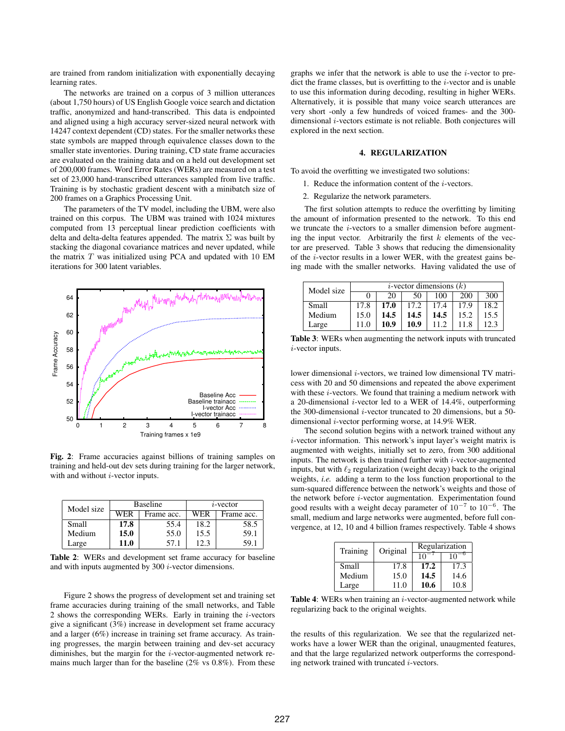are trained from random initialization with exponentially decaying learning rates.

The networks are trained on a corpus of 3 million utterances (about 1,750 hours) of US English Google voice search and dictation traffic, anonymized and hand-transcribed. This data is endpointed and aligned using a high accuracy server-sized neural network with 14247 context dependent (CD) states. For the smaller networks these state symbols are mapped through equivalence classes down to the smaller state inventories. During training, CD state frame accuracies are evaluated on the training data and on a held out development set of 200,000 frames. Word Error Rates (WERs) are measured on a test set of 23,000 hand-transcribed utterances sampled from live traffic. Training is by stochastic gradient descent with a minibatch size of 200 frames on a Graphics Processing Unit.

The parameters of the TV model, including the UBM, were also trained on this corpus. The UBM was trained with 1024 mixtures computed from 13 perceptual linear prediction coefficients with delta and delta-delta features appended. The matrix  $\Sigma$  was built by stacking the diagonal covariance matrices and never updated, while the matrix  $T$  was initialized using PCA and updated with 10 EM iterations for 300 latent variables.



Fig. 2: Frame accuracies against billions of training samples on training and held-out dev sets during training for the larger network, with and without  $i$ -vector inputs.

| Model size |      | <b>Baseline</b> | $i$ -vector |            |  |
|------------|------|-----------------|-------------|------------|--|
|            | WER  | Frame acc.      | WER         | Frame acc. |  |
| Small      | 17.8 | 55.4            | 18.2        | 58.5       |  |
| Medium     | 15.0 | 55.0            | 15.5        | 59.1       |  |
| Large      | 11.0 | 57.1            | 12.3        | 59.1       |  |

Table 2: WERs and development set frame accuracy for baseline and with inputs augmented by 300 i-vector dimensions.

Figure 2 shows the progress of development set and training set frame accuracies during training of the small networks, and Table 2 shows the corresponding WERs. Early in training the  $i$ -vectors give a significant (3%) increase in development set frame accuracy and a larger (6%) increase in training set frame accuracy. As training progresses, the margin between training and dev-set accuracy diminishes, but the margin for the i-vector-augmented network remains much larger than for the baseline (2% vs 0.8%). From these

graphs we infer that the network is able to use the  $i$ -vector to predict the frame classes, but is overfitting to the  $i$ -vector and is unable to use this information during decoding, resulting in higher WERs. Alternatively, it is possible that many voice search utterances are very short -only a few hundreds of voiced frames- and the 300 dimensional i-vectors estimate is not reliable. Both conjectures will explored in the next section.

### 4. REGULARIZATION

To avoid the overfitting we investigated two solutions:

- 1. Reduce the information content of the i-vectors.
- 2. Regularize the network parameters.

The first solution attempts to reduce the overfitting by limiting the amount of information presented to the network. To this end we truncate the i-vectors to a smaller dimension before augmenting the input vector. Arbitrarily the first  $k$  elements of the vector are preserved. Table 3 shows that reducing the dimensionality of the  $i$ -vector results in a lower WER, with the greatest gains being made with the smaller networks. Having validated the use of

| Model size | <i>i</i> -vector dimensions $(k)$ |      |      |      |      |      |
|------------|-----------------------------------|------|------|------|------|------|
|            |                                   | 20   | 50   | 100  | 200  | 300  |
| Small      | 17.8                              | 17.0 | 17.2 | 17.4 | 17.9 | 18.2 |
| Medium     | 15.0                              | 14.5 | 14.5 | 14.5 | 15.2 | 15.5 |
| Large      | 11.0                              | 10.9 | 10.9 | 11.2 |      | 12.3 |

Table 3: WERs when augmenting the network inputs with truncated i-vector inputs.

lower dimensional *i*-vectors, we trained low dimensional TV matricess with 20 and 50 dimensions and repeated the above experiment with these *i*-vectors. We found that training a medium network with a 20-dimensional i-vector led to a WER of 14.4%, outperforming the 300-dimensional  $i$ -vector truncated to 20 dimensions, but a 50dimensional i-vector performing worse, at 14.9% WER.

The second solution begins with a network trained without any i-vector information. This network's input layer's weight matrix is augmented with weights, initially set to zero, from 300 additional inputs. The network is then trained further with  $i$ -vector-augmented inputs, but with  $\ell_2$  regularization (weight decay) back to the original weights, *i.e.* adding a term to the loss function proportional to the sum-squared difference between the network's weights and those of the network before i-vector augmentation. Experimentation found good results with a weight decay parameter of  $10^{-7}$  to  $10^{-6}$ . The small, medium and large networks were augmented, before full convergence, at 12, 10 and 4 billion frames respectively. Table 4 shows

| Training | Original | Regularization |      |  |
|----------|----------|----------------|------|--|
|          |          | 10             | 10   |  |
| Small    | 17.8     | 17.2           | 17.3 |  |
| Medium   | 15.0     | 14.5           | 14.6 |  |
| Large    | 11 O     | 10.6           | 10.8 |  |

Table 4: WERs when training an  $i$ -vector-augmented network while regularizing back to the original weights.

the results of this regularization. We see that the regularized networks have a lower WER than the original, unaugmented features, and that the large regularized network outperforms the corresponding network trained with truncated  $i$ -vectors.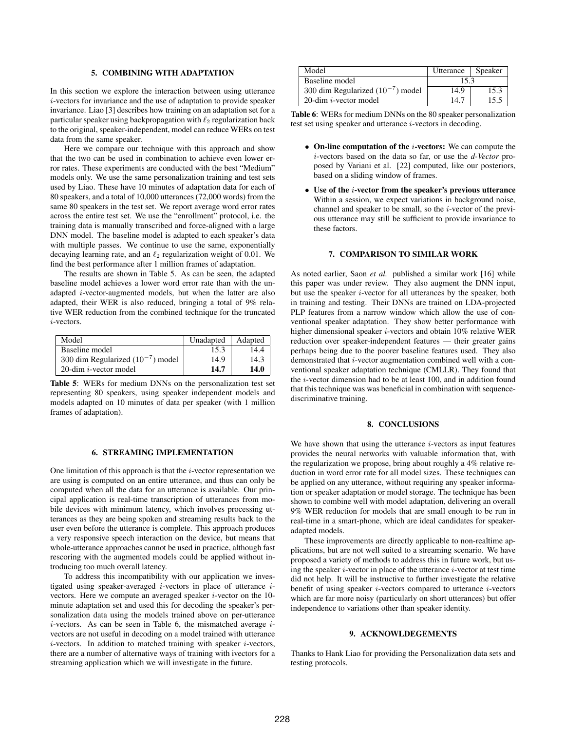#### 5. COMBINING WITH ADAPTATION

In this section we explore the interaction between using utterance i-vectors for invariance and the use of adaptation to provide speaker invariance. Liao [3] describes how training on an adaptation set for a particular speaker using backpropagation with  $\ell_2$  regularization back to the original, speaker-independent, model can reduce WERs on test data from the same speaker.

Here we compare our technique with this approach and show that the two can be used in combination to achieve even lower error rates. These experiments are conducted with the best "Medium" models only. We use the same personalization training and test sets used by Liao. These have 10 minutes of adaptation data for each of 80 speakers, and a total of 10,000 utterances (72,000 words) from the same 80 speakers in the test set. We report average word error rates across the entire test set. We use the "enrollment" protocol, i.e. the training data is manually transcribed and force-aligned with a large DNN model. The baseline model is adapted to each speaker's data with multiple passes. We continue to use the same, exponentially decaying learning rate, and an  $\ell_2$  regularization weight of 0.01. We find the best performance after 1 million frames of adaptation.

The results are shown in Table 5. As can be seen, the adapted baseline model achieves a lower word error rate than with the unadapted i-vector-augmented models, but when the latter are also adapted, their WER is also reduced, bringing a total of 9% relative WER reduction from the combined technique for the truncated i-vectors.

| Model                                 | Unadapted | Adapted |
|---------------------------------------|-----------|---------|
| Baseline model                        | 15.3      | 14.4    |
| 300 dim Regularized $(10^{-7})$ model | 14.9      | 14.3    |
| 20-dim $i$ -vector model              | 14.7      | 14.0    |

Table 5: WERs for medium DNNs on the personalization test set representing 80 speakers, using speaker independent models and models adapted on 10 minutes of data per speaker (with 1 million frames of adaptation).

### 6. STREAMING IMPLEMENTATION

One limitation of this approach is that the  $i$ -vector representation we are using is computed on an entire utterance, and thus can only be computed when all the data for an utterance is available. Our principal application is real-time transcription of utterances from mobile devices with minimum latency, which involves processing utterances as they are being spoken and streaming results back to the user even before the utterance is complete. This approach produces a very responsive speech interaction on the device, but means that whole-utterance approaches cannot be used in practice, although fast rescoring with the augmented models could be applied without introducing too much overall latency.

To address this incompatibility with our application we investigated using speaker-averaged i-vectors in place of utterance ivectors. Here we compute an averaged speaker i-vector on the 10 minute adaptation set and used this for decoding the speaker's personalization data using the models trained above on per-utterance  $i$ -vectors. As can be seen in Table 6, the mismatched average  $i$ vectors are not useful in decoding on a model trained with utterance  $i$ -vectors. In addition to matched training with speaker  $i$ -vectors, there are a number of alternative ways of training with ivectors for a streaming application which we will investigate in the future.

| Model                                 | Utterance | Speaker |  |
|---------------------------------------|-----------|---------|--|
| Baseline model                        | 15.3      |         |  |
| 300 dim Regularized $(10^{-7})$ model | 14.9      | 15.3    |  |
| 20-dim $i$ -vector model              | 14.7      | 15.5    |  |

Table 6: WERs for medium DNNs on the 80 speaker personalization test set using speaker and utterance i-vectors in decoding.

- On-line computation of the i-vectors: We can compute the i-vectors based on the data so far, or use the *d-Vector* proposed by Variani et al. [22] computed, like our posteriors, based on a sliding window of frames.
- Use of the i-vector from the speaker's previous utterance Within a session, we expect variations in background noise, channel and speaker to be small, so the  $i$ -vector of the previous utterance may still be sufficient to provide invariance to these factors.

### 7. COMPARISON TO SIMILAR WORK

As noted earlier, Saon *et al.* published a similar work [16] while this paper was under review. They also augment the DNN input, but use the speaker i-vector for all utterances by the speaker, both in training and testing. Their DNNs are trained on LDA-projected PLP features from a narrow window which allow the use of conventional speaker adaptation. They show better performance with higher dimensional speaker i-vectors and obtain 10% relative WER reduction over speaker-independent features — their greater gains perhaps being due to the poorer baseline features used. They also demonstrated that i-vector augmentation combined well with a conventional speaker adaptation technique (CMLLR). They found that the i-vector dimension had to be at least 100, and in addition found that this technique was was beneficial in combination with sequencediscriminative training.

#### 8. CONCLUSIONS

We have shown that using the utterance  $i$ -vectors as input features provides the neural networks with valuable information that, with the regularization we propose, bring about roughly a 4% relative reduction in word error rate for all model sizes. These techniques can be applied on any utterance, without requiring any speaker information or speaker adaptation or model storage. The technique has been shown to combine well with model adaptation, delivering an overall 9% WER reduction for models that are small enough to be run in real-time in a smart-phone, which are ideal candidates for speakeradapted models.

These improvements are directly applicable to non-realtime applications, but are not well suited to a streaming scenario. We have proposed a variety of methods to address this in future work, but using the speaker  $i$ -vector in place of the utterance  $i$ -vector at test time did not help. It will be instructive to further investigate the relative benefit of using speaker  $i$ -vectors compared to utterance  $i$ -vectors which are far more noisy (particularly on short utterances) but offer independence to variations other than speaker identity.

### 9. ACKNOWLDEGEMENTS

Thanks to Hank Liao for providing the Personalization data sets and testing protocols.